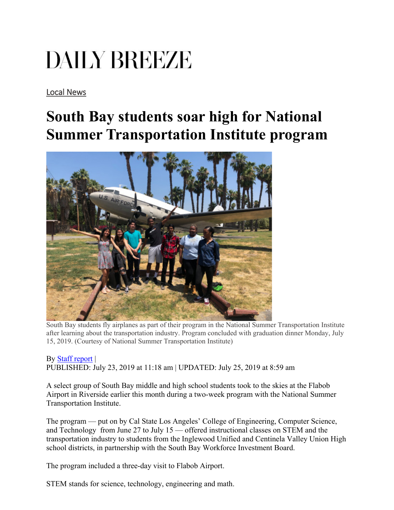## DAILY BREEZE

[Local News](https://www.dailybreeze.com/local-news/) 

## **South Bay students soar high for National Summer Transportation Institute program**



South Bay students fly airplanes as part of their program in the National Summer Transportation Institute after learning about the transportation industry. Program concluded with graduation dinner Monday, July 15, 2019. (Courtesy of National Summer Transportation Institute)

By [Staff report](https://www.dailybreeze.com/author/staff-report/) | PUBLISHED: July 23, 2019 at 11:18 am | UPDATED: July 25, 2019 at 8:59 am

A select group of South Bay middle and high school students took to the skies at the Flabob Airport in Riverside earlier this month during a two-week program with the National Summer Transportation Institute.

The program — put on by Cal State Los Angeles' College of Engineering, Computer Science, and Technology from June 27 to July 15 — offered instructional classes on STEM and the transportation industry to students from the Inglewood Unified and Centinela Valley Union High school districts, in partnership with the South Bay Workforce Investment Board.

The program included a three-day visit to Flabob Airport.

STEM stands for science, technology, engineering and math.